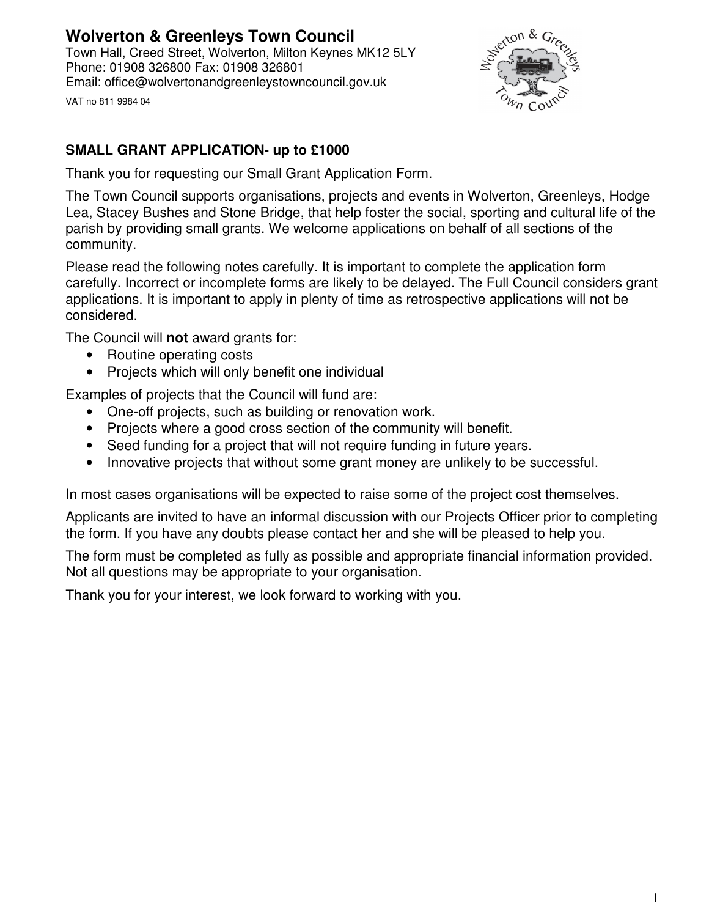# **Wolverton & Greenleys Town Council**

Town Hall, Creed Street, Wolverton, Milton Keynes MK12 5LY Phone: 01908 326800 Fax: 01908 326801 Email: office@wolvertonandgreenleystowncouncil.gov.uk





# **SMALL GRANT APPLICATION- up to £1000**

Thank you for requesting our Small Grant Application Form.

The Town Council supports organisations, projects and events in Wolverton, Greenleys, Hodge Lea, Stacey Bushes and Stone Bridge, that help foster the social, sporting and cultural life of the parish by providing small grants. We welcome applications on behalf of all sections of the community.

Please read the following notes carefully. It is important to complete the application form carefully. Incorrect or incomplete forms are likely to be delayed. The Full Council considers grant applications. It is important to apply in plenty of time as retrospective applications will not be considered.

The Council will **not** award grants for:

- Routine operating costs
- Projects which will only benefit one individual

Examples of projects that the Council will fund are:

- One-off projects, such as building or renovation work.
- Projects where a good cross section of the community will benefit.
- Seed funding for a project that will not require funding in future years.
- Innovative projects that without some grant money are unlikely to be successful.

In most cases organisations will be expected to raise some of the project cost themselves.

Applicants are invited to have an informal discussion with our Projects Officer prior to completing the form. If you have any doubts please contact her and she will be pleased to help you.

The form must be completed as fully as possible and appropriate financial information provided. Not all questions may be appropriate to your organisation.

Thank you for your interest, we look forward to working with you.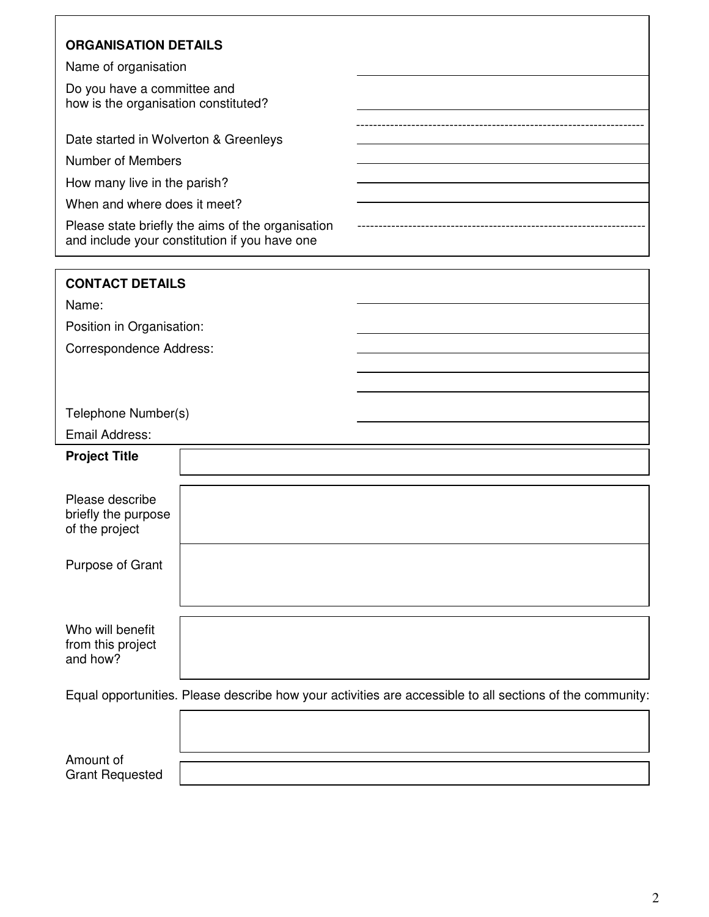| <b>ORGANISATION DETAILS</b>                                                                                                                                                             |  |                        |
|-----------------------------------------------------------------------------------------------------------------------------------------------------------------------------------------|--|------------------------|
| Name of organisation                                                                                                                                                                    |  |                        |
| Do you have a committee and<br>how is the organisation constituted?                                                                                                                     |  |                        |
| Date started in Wolverton & Greenleys                                                                                                                                                   |  |                        |
| Number of Members<br>How many live in the parish?<br>When and where does it meet?<br>Please state briefly the aims of the organisation<br>and include your constitution if you have one |  |                        |
|                                                                                                                                                                                         |  |                        |
|                                                                                                                                                                                         |  |                        |
|                                                                                                                                                                                         |  | <b>CONTACT DETAILS</b> |
| Name:                                                                                                                                                                                   |  |                        |
| Position in Organisation:                                                                                                                                                               |  |                        |
| <b>Correspondence Address:</b>                                                                                                                                                          |  |                        |
|                                                                                                                                                                                         |  |                        |
|                                                                                                                                                                                         |  |                        |
| Telephone Number(s)                                                                                                                                                                     |  |                        |
| Email Address:                                                                                                                                                                          |  |                        |
| <b>Project Title</b>                                                                                                                                                                    |  |                        |
| Please describe<br>briefly the purpose<br>of the project                                                                                                                                |  |                        |
| Purpose of Grant                                                                                                                                                                        |  |                        |
| Who will benefit<br>from this project<br>and how?                                                                                                                                       |  |                        |
|                                                                                                                                                                                         |  |                        |

Amount of Grant Requested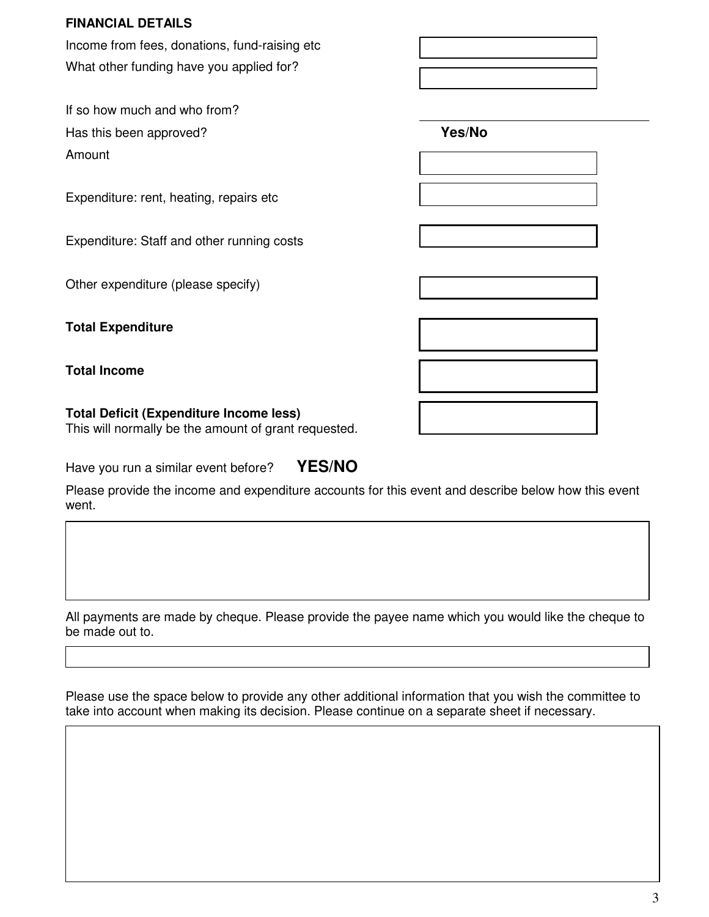#### **FINANCIAL DETAILS**

Income from fees, donations, fund-raising etc What other funding have you applied for?

If so how much and who from? Has this been approved? **Yes/No**  Amount

Expenditure: rent, heating, repairs etc

Expenditure: Staff and other running costs

Other expenditure (please specify)

**Total Expenditure** 

**Total Income** 

#### **Total Deficit (Expenditure Income less)**  This will normally be the amount of grant requested.

| Have you run a similar event before? | <b>YES/NO</b> |
|--------------------------------------|---------------|
|--------------------------------------|---------------|

Please provide the income and expenditure accounts for this event and describe below how this event went.

All payments are made by cheque. Please provide the payee name which you would like the cheque to be made out to.

Please use the space below to provide any other additional information that you wish the committee to take into account when making its decision. Please continue on a separate sheet if necessary.

| w<br>۰,     |
|-------------|
|             |
|             |
| I<br>I<br>I |